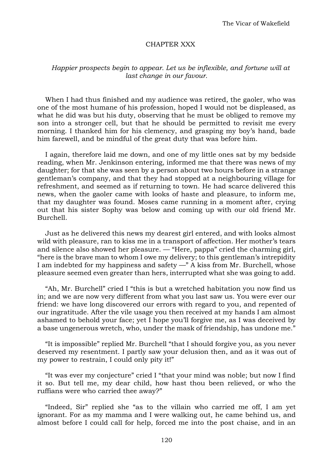## CHAPTER XXX

## *Happier prospects begin to appear. Let us be inflexible, and fortune will at last change in our favour.*

When I had thus finished and my audience was retired, the gaoler, who was one of the most humane of his profession, hoped I would not be displeased, as what he did was but his duty, observing that he must be obliged to remove my son into a stronger cell, but that he should be permitted to revisit me every morning. I thanked him for his clemency, and grasping my boy's hand, bade him farewell, and be mindful of the great duty that was before him.

I again, therefore laid me down, and one of my little ones sat by my bedside reading, when Mr. Jenkinson entering, informed me that there was news of my daughter; for that she was seen by a person about two hours before in a strange gentleman's company, and that they had stopped at a neighbouring village for refreshment, and seemed as if returning to town. He had scarce delivered this news, when the gaoler came with looks of haste and pleasure, to inform me, that my daughter was found. Moses came running in a moment after, crying out that his sister Sophy was below and coming up with our old friend Mr. Burchell.

Just as he delivered this news my dearest girl entered, and with looks almost wild with pleasure, ran to kiss me in a transport of affection. Her mother's tears and silence also showed her pleasure. — "Here, pappa" cried the charming girl, "here is the brave man to whom I owe my delivery; to this gentleman's intrepidity I am indebted for my happiness and safety —" A kiss from Mr. Burchell, whose pleasure seemed even greater than hers, interrupted what she was going to add.

"Ah, Mr. Burchell" cried I "this is but a wretched habitation you now find us in; and we are now very different from what you last saw us. You were ever our friend: we have long discovered our errors with regard to you, and repented of our ingratitude. After the vile usage you then received at my hands I am almost ashamed to behold your face; yet I hope you'll forgive me, as I was deceived by a base ungenerous wretch, who, under the mask of friendship, has undone me."

"It is impossible" replied Mr. Burchell "that I should forgive you, as you never deserved my resentment. I partly saw your delusion then, and as it was out of my power to restrain, I could only pity it!"

"It was ever my conjecture" cried I "that your mind was noble; but now I find it so. But tell me, my dear child, how hast thou been relieved, or who the ruffians were who carried thee away?"

"Indeed, Sir" replied she "as to the villain who carried me off, I am yet ignorant. For as my mamma and I were walking out, he came behind us, and almost before I could call for help, forced me into the post chaise, and in an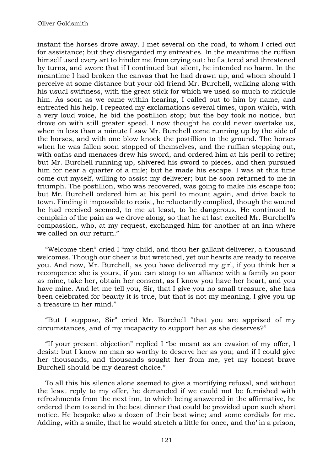instant the horses drove away. I met several on the road, to whom I cried out for assistance; but they disregarded my entreaties. In the meantime the ruffian himself used every art to hinder me from crying out: he flattered and threatened by turns, and swore that if I continued but silent, he intended no harm. In the meantime I had broken the canvas that he had drawn up, and whom should I perceive at some distance but your old friend Mr. Burchell, walking along with his usual swiftness, with the great stick for which we used so much to ridicule him. As soon as we came within hearing, I called out to him by name, and entreated his help. I repeated my exclamations several times, upon which, with a very loud voice, he bid the postillion stop; but the boy took no notice, but drove on with still greater speed. I now thought he could never overtake us, when in less than a minute I saw Mr. Burchell come running up by the side of the horses, and with one blow knock the postillion to the ground. The horses when he was fallen soon stopped of themselves, and the ruffian stepping out, with oaths and menaces drew his sword, and ordered him at his peril to retire; but Mr. Burchell running up, shivered his sword to pieces, and then pursued him for near a quarter of a mile; but he made his escape. I was at this time come out myself, willing to assist my deliverer; but he soon returned to me in triumph. The postillion, who was recovered, was going to make his escape too; but Mr. Burchell ordered him at his peril to mount again, and drive back to town. Finding it impossible to resist, he reluctantly complied, though the wound he had received seemed, to me at least, to be dangerous. He continued to complain of the pain as we drove along, so that he at last excited Mr. Burchell's compassion, who, at my request, exchanged him for another at an inn where we called on our return."

"Welcome then" cried I "my child, and thou her gallant deliverer, a thousand welcomes. Though our cheer is but wretched, yet our hearts are ready to receive you. And now, Mr. Burchell, as you have delivered my girl, if you think her a recompence she is yours, if you can stoop to an alliance with a family so poor as mine, take her, obtain her consent, as I know you have her heart, and you have mine. And let me tell you, Sir, that I give you no small treasure, she has been celebrated for beauty it is true, but that is not my meaning, I give you up a treasure in her mind."

"But I suppose, Sir" cried Mr. Burchell "that you are apprised of my circumstances, and of my incapacity to support her as she deserves?"

"If your present objection" replied I "be meant as an evasion of my offer, I desist: but I know no man so worthy to deserve her as you; and if I could give her thousands, and thousands sought her from me, yet my honest brave Burchell should be my dearest choice."

To all this his silence alone seemed to give a mortifying refusal, and without the least reply to my offer, he demanded if we could not be furnished with refreshments from the next inn, to which being answered in the affirmative, he ordered them to send in the best dinner that could be provided upon such short notice. He bespoke also a dozen of their best wine; and some cordials for me. Adding, with a smile, that he would stretch a little for once, and tho' in a prison,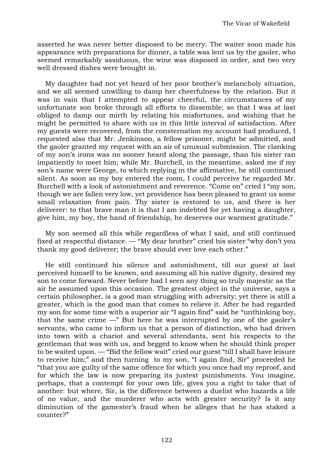asserted he was never better disposed to be merry. The waiter soon made his appearance with preparations for dinner, a table was lent us by the gaoler, who seemed remarkably assiduous, the wine was disposed in order, and two very well dressed dishes were brought in.

My daughter had not yet heard of her poor brother's melancholy situation, and we all seemed unwilling to damp her cheerfulness by the relation. But it was in vain that I attempted to appear cheerful, the circumstances of my unfortunate son broke through all efforts to dissemble; so that I was at last obliged to damp our mirth by relating his misfortunes, and wishing that he might be permitted to share with us in this little interval of satisfaction. After my guests were recovered, from the consternation my account had produced, I requested also that Mr. Jenkinson, a fellow prisoner, might be admitted, and the gaoler granted my request with an air of unusual submission. The clanking of my son's irons was no sooner heard along the passage, than his sister ran impatiently to meet him; while Mr. Burchell, in the meantime, asked me if my son's name were George, to which replying in the affirmative, he still continued silent. As soon as my boy entered the room, I could perceive he regarded Mr. Burchell with a look of astonishment and reverence. "Come on" cried I "my son, though we are fallen very low, yet providence has been pleased to grant us some small relaxation from pain. Thy sister is restored to us, and there is her deliverer: to that brave man it is that I am indebted for yet having a daughter, give him, my boy, the hand of friendship, he deserves our warmest gratitude."

My son seemed all this while regardless of what I said, and still continued fixed at respectful distance. — "My dear brother" cried his sister "why don't you thank my good deliverer; the brave should ever love each other."

He still continued his silence and astonishment, till our guest at last perceived himself to be known, and assuming all his native dignity, desired my son to come forward. Never before had I seen any thing so truly majestic as the air he assumed upon this occasion. The greatest object in the universe, says a certain philosopher, is a good man struggling with adversity; yet there is still a greater, which is the good man that comes to relieve it. After he had regarded my son for some time with a superior air "I again find" said he "unthinking boy, that the same crime  $-$ " But here he was interrupted by one of the gaoler's servants, who came to inform us that a person of distinction, who had driven into town with a chariot and several attendants, sent his respects to the gentleman that was with us, and begged to know when he should think proper to be waited upon. — "Bid the fellow wait" cried our guest "till I shall have leisure to receive him;" and then turning to my son, "I again find, Sir" proceeded he "that you are guilty of the same offence for which you once had my reproof, and for which the law is now preparing its justest punishments. You imagine, perhaps, that a contempt for your own life, gives you a right to take that of another: but where, Sir, is the difference between a duelist who hazards a life of no value, and the murderer who acts with greater security? Is it any diminution of the gamester's fraud when he alleges that he has staked a counter?"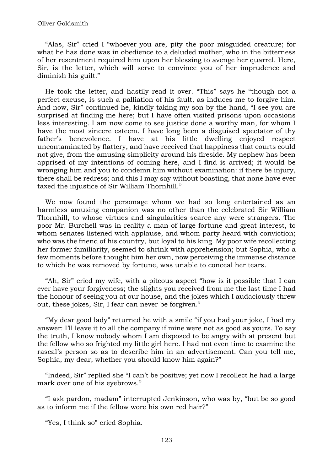"Alas, Sir" cried I "whoever you are, pity the poor misguided creature; for what he has done was in obedience to a deluded mother, who in the bitterness of her resentment required him upon her blessing to avenge her quarrel. Here, Sir, is the letter, which will serve to convince you of her imprudence and diminish his guilt."

He took the letter, and hastily read it over. "This" says he "though not a perfect excuse, is such a palliation of his fault, as induces me to forgive him. And now, Sir" continued he, kindly taking my son by the hand, "I see you are surprised at finding me here; but I have often visited prisons upon occasions less interesting. I am now come to see justice done a worthy man, for whom I have the most sincere esteem. I have long been a disguised spectator of thy father's benevolence. I have at his little dwelling enjoyed respect uncontaminated by flattery, and have received that happiness that courts could not give, from the amusing simplicity around his fireside. My nephew has been apprised of my intentions of coming here, and I find is arrived; it would be wronging him and you to condemn him without examination: if there be injury, there shall be redress; and this I may say without boasting, that none have ever taxed the injustice of Sir William Thornhill."

We now found the personage whom we had so long entertained as an harmless amusing companion was no other than the celebrated Sir William Thornhill, to whose virtues and singularities scarce any were strangers. The poor Mr. Burchell was in reality a man of large fortune and great interest, to whom senates listened with applause, and whom party heard with conviction; who was the friend of his country, but loyal to his king. My poor wife recollecting her former familiarity, seemed to shrink with apprehension; but Sophia, who a few moments before thought him her own, now perceiving the immense distance to which he was removed by fortune, was unable to conceal her tears.

"Ah, Sir" cried my wife, with a piteous aspect "how is it possible that I can ever have your forgiveness; the slights you received from me the last time I had the honour of seeing you at our house, and the jokes which I audaciously threw out, these jokes, Sir, I fear can never be forgiven."

"My dear good lady" returned he with a smile "if you had your joke, I had my answer: I'll leave it to all the company if mine were not as good as yours. To say the truth, I know nobody whom I am disposed to be angry with at present but the fellow who so frighted my little girl here. I had not even time to examine the rascal's person so as to describe him in an advertisement. Can you tell me, Sophia, my dear, whether you should know him again?"

"Indeed, Sir" replied she "I can't be positive; yet now I recollect he had a large mark over one of his eyebrows."

"I ask pardon, madam" interrupted Jenkinson, who was by, "but be so good as to inform me if the fellow wore his own red hair?"

"Yes, I think so" cried Sophia.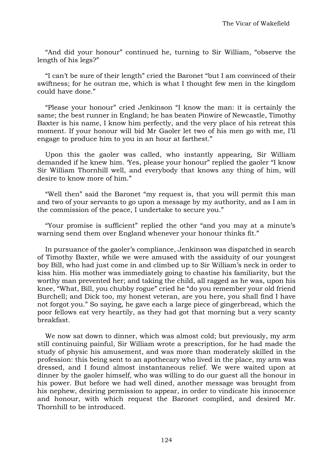"And did your honour" continued he, turning to Sir William, "observe the length of his legs?"

"I can't be sure of their length" cried the Baronet "but I am convinced of their swiftness; for he outran me, which is what I thought few men in the kingdom could have done."

"Please your honour" cried Jenkinson "I know the man: it is certainly the same; the best runner in England; he has beaten Pinwire of Newcastle, Timothy Baxter is his name, I know him perfectly, and the very place of his retreat this moment. If your honour will bid Mr Gaoler let two of his men go with me, I'll engage to produce him to you in an hour at farthest."

Upon this the gaoler was called, who instantly appearing, Sir William demanded if he knew him. 'Yes, please your honour" replied the gaoler "I know Sir William Thornhill well, and everybody that knows any thing of him, will desire to know more of him."

"Well then" said the Baronet "my request is, that you will permit this man and two of your servants to go upon a message by my authority, and as I am in the commission of the peace, I undertake to secure you."

"Your promise is sufficient" replied the other "and you may at a minute's warning send them over England whenever your honour thinks fit."

In pursuance of the gaoler's compliance, Jenkinson was dispatched in search of Timothy Baxter, while we were amused with the assiduity of our youngest boy Bill, who had just come in and climbed up to Sir William's neck in order to kiss him. His mother was immediately going to chastise his familiarity, but the worthy man prevented her; and taking the child, all ragged as he was, upon his knee, "What, Bill, you chubby rogue" cried he "do you remember your old friend Burchell; and Dick too, my honest veteran, are you here, you shall find I have not forgot you." So saying, he gave each a large piece of gingerbread, which the poor fellows eat very heartily, as they had got that morning but a very scanty breakfast.

We now sat down to dinner, which was almost cold; but previously, my arm still continuing painful, Sir William wrote a prescription, for he had made the study of physic his amusement, and was more than moderately skilled in the profession: this being sent to an apothecary who lived in the place, my arm was dressed, and I found almost instantaneous relief. We were waited upon at dinner by the gaoler himself, who was willing to do our guest all the honour in his power. But before we had well dined, another message was brought from his nephew, desiring permission to appear, in order to vindicate his innocence and honour, with which request the Baronet complied, and desired Mr. Thornhill to be introduced.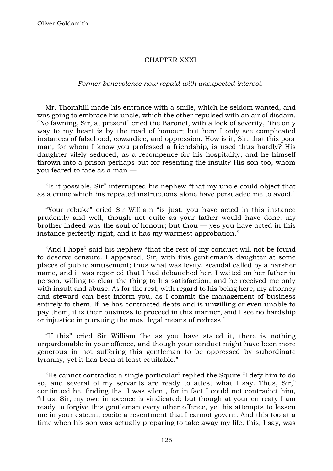# CHAPTER XXXI

#### *Former benevolence now repaid with unexpected interest.*

Mr. Thornhill made his entrance with a smile, which he seldom wanted, and was going to embrace his uncle, which the other repulsed with an air of disdain. "No fawning, Sir, at present" cried the Baronet, with a look of severity, "the only way to my heart is by the road of honour; but here I only see complicated instances of falsehood, cowardice, and oppression. How is it, Sir, that this poor man, for whom I know you professed a friendship, is used thus hardly? His daughter vilely seduced, as a recompence for his hospitality, and he himself thrown into a prison perhaps but for resenting the insult? His son too, whom you feared to face as a man —"

"Is it possible, Sir" interrupted his nephew "that my uncle could object that as a crime which his repeated instructions alone have persuaded me to avoid.'

"Your rebuke" cried Sir William "is just; you have acted in this instance prudently and well, though not quite as your father would have done: my brother indeed was the soul of honour; but thou  $-$  yes you have acted in this instance perfectly right, and it has my warmest approbation."

"And I hope" said his nephew "that the rest of my conduct will not be found to deserve censure. I appeared, Sir, with this gentleman's daughter at some places of public amusement; thus what was levity, scandal called by a harsher name, and it was reported that I had debauched her. I waited on her father in person, willing to clear the thing to his satisfaction, and he received me only with insult and abuse. As for the rest, with regard to his being here, my attorney and steward can best inform you, as I commit the management of business entirely to them. If he has contracted debts and is unwilling or even unable to pay them, it is their business to proceed in this manner, and I see no hardship or injustice in pursuing the most legal means of redress.'

"If this" cried Sir William "be as you have stated it, there is nothing unpardonable in your offence, and though your conduct might have been more generous in not suffering this gentleman to be oppressed by subordinate tyranny, yet it has been at least equitable."

"He cannot contradict a single particular" replied the Squire "I defy him to do so, and several of my servants are ready to attest what I say. Thus, Sir," continued he, finding that I was silent, for in fact I could not contradict him, "thus, Sir, my own innocence is vindicated; but though at your entreaty I am ready to forgive this gentleman every other offence, yet his attempts to lessen me in your esteem, excite a resentment that I cannot govern. And this too at a time when his son was actually preparing to take away my life; this, I say, was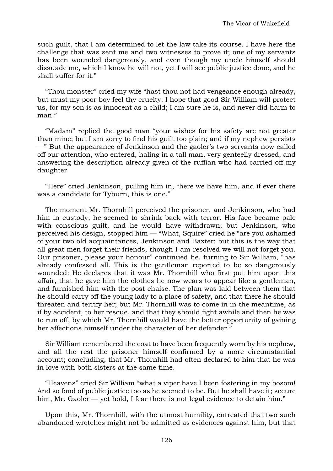such guilt, that I am determined to let the law take its course. I have here the challenge that was sent me and two witnesses to prove it; one of my servants has been wounded dangerously, and even though my uncle himself should dissuade me, which I know he will not, yet I will see public justice done, and he shall suffer for it."

"Thou monster" cried my wife "hast thou not had vengeance enough already, but must my poor boy feel thy cruelty. I hope that good Sir William will protect us, for my son is as innocent as a child; I am sure he is, and never did harm to man<sup>"</sup>

"Madam" replied the good man "your wishes for his safety are not greater than mine; but I am sorry to find his guilt too plain; and if my nephew persists —" But the appearance of Jenkinson and the gaoler's two servants now called off our attention, who entered, haling in a tall man, very genteelly dressed, and answering the description already given of the ruffian who had carried off my daughter

"Here" cried Jenkinson, pulling him in, "here we have him, and if ever there was a candidate for Tyburn, this is one."

The moment Mr. Thornhill perceived the prisoner, and Jenkinson, who had him in custody, he seemed to shrink back with terror. His face became pale with conscious guilt, and he would have withdrawn; but Jenkinson, who perceived his design, stopped him — "What, Squire" cried he "are you ashamed of your two old acquaintances, Jenkinson and Baxter: but this is the way that all great men forget their friends, though I am resolved we will not forget you. Our prisoner, please your honour" continued he, turning to Sir William, "has already confessed all. This is the gentleman reported to be so dangerously wounded: He declares that it was Mr. Thornhill who first put him upon this affair, that he gave him the clothes he now wears to appear like a gentleman, and furnished him with the post chaise. The plan was laid between them that he should carry off the young lady to a place of safety, and that there he should threaten and terrify her; but Mr. Thornhill was to come in in the meantime, as if by accident, to her rescue, and that they should fight awhile and then he was to run off, by which Mr. Thornhill would have the better opportunity of gaining her affections himself under the character of her defender."

Sir William remembered the coat to have been frequently worn by his nephew, and all the rest the prisoner himself confirmed by a more circumstantial account; concluding, that Mr. Thornhill had often declared to him that he was in love with both sisters at the same time.

"Heavens" cried Sir William "what a viper have I been fostering in my bosom! And so fond of public justice too as he seemed to be. But he shall have it; secure him, Mr. Gaoler — yet hold, I fear there is not legal evidence to detain him."

Upon this, Mr. Thornhill, with the utmost humility, entreated that two such abandoned wretches might not be admitted as evidences against him, but that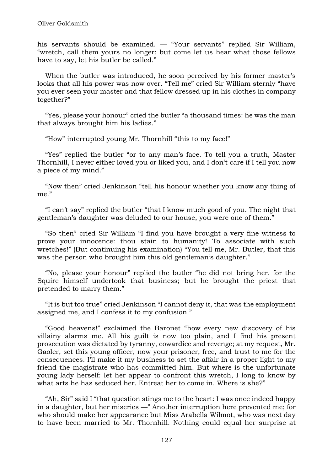his servants should be examined. — "Your servants" replied Sir William, "wretch, call them yours no longer: but come let us hear what those fellows have to say, let his butler be called."

When the butler was introduced, he soon perceived by his former master's looks that all his power was now over. "Tell me" cried Sir William sternly "have you ever seen your master and that fellow dressed up in his clothes in company together?"

"Yes, please your honour" cried the butler "a thousand times: he was the man that always brought him his ladies."

"How" interrupted young Mr. Thornhill "this to my face!"

"Yes" replied the butler "or to any man's face. To tell you a truth, Master Thornhill, I never either loved you or liked you, and I don't care if I tell you now a piece of my mind."

"Now then" cried Jenkinson "tell his honour whether you know any thing of me."

"I can't say" replied the butler "that I know much good of you. The night that gentleman's daughter was deluded to our house, you were one of them."

"So then" cried Sir William "I find you have brought a very fine witness to prove your innocence: thou stain to humanity! To associate with such wretches!" (But continuing his examination) "You tell me, Mr. Butler, that this was the person who brought him this old gentleman's daughter."

"No, please your honour" replied the butler "he did not bring her, for the Squire himself undertook that business; but he brought the priest that pretended to marry them."

"It is but too true" cried Jenkinson "I cannot deny it, that was the employment assigned me, and I confess it to my confusion."

"Good heavens!" exclaimed the Baronet "how every new discovery of his villainy alarms me. All his guilt is now too plain, and I find his present prosecution was dictated by tyranny, cowardice and revenge; at my request, Mr. Gaoler, set this young officer, now your prisoner, free, and trust to me for the consequences. I'll make it my business to set the affair in a proper light to my friend the magistrate who has committed him. But where is the unfortunate young lady herself: let her appear to confront this wretch, I long to know by what arts he has seduced her. Entreat her to come in. Where is she?"

"Ah, Sir" said I "that question stings me to the heart: I was once indeed happy in a daughter, but her miseries —" Another interruption here prevented me; for who should make her appearance but Miss Arabella Wilmot, who was next day to have been married to Mr. Thornhill. Nothing could equal her surprise at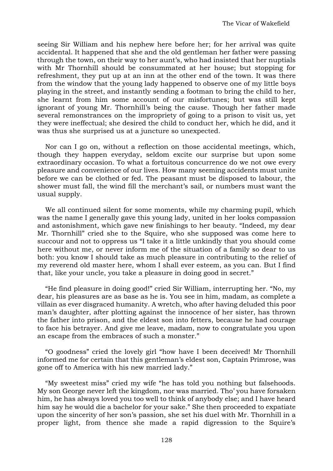seeing Sir William and his nephew here before her; for her arrival was quite accidental. It happened that she and the old gentleman her father were passing through the town, on their way to her aunt's, who had insisted that her nuptials with Mr Thornhill should be consummated at her house; but stopping for refreshment, they put up at an inn at the other end of the town. It was there from the window that the young lady happened to observe one of my little boys playing in the street, and instantly sending a footman to bring the child to her, she learnt from him some account of our misfortunes; but was still kept ignorant of young Mr. Thornhill's being the cause. Though her father made several remonstrances on the impropriety of going to a prison to visit us, yet they were ineffectual; she desired the child to conduct her, which he did, and it was thus she surprised us at a juncture so unexpected.

Nor can I go on, without a reflection on those accidental meetings, which, though they happen everyday, seldom excite our surprise but upon some extraordinary occasion. To what a fortuitous concurrence do we not owe every pleasure and convenience of our lives. How many seeming accidents must unite before we can be clothed or fed. The peasant must be disposed to labour, the shower must fall, the wind fill the merchant's sail, or numbers must want the usual supply.

We all continued silent for some moments, while my charming pupil, which was the name I generally gave this young lady, united in her looks compassion and astonishment, which gave new finishings to her beauty. "Indeed, my dear Mr. Thornhill" cried she to the Squire, who she supposed was come here to succour and not to oppress us "I take it a little unkindly that you should come here without me, or never inform me of the situation of a family so dear to us both: you know I should take as much pleasure in contributing to the relief of my reverend old master here, whom I shall ever esteem, as you can. But I find that, like your uncle, you take a pleasure in doing good in secret."

"He find pleasure in doing good!" cried Sir William, interrupting her. "No, my dear, his pleasures are as base as he is. You see in him, madam, as complete a villain as ever disgraced humanity. A wretch, who after having deluded this poor man's daughter, after plotting against the innocence of her sister, has thrown the father into prison, and the eldest son into fetters, because he had courage to face his betrayer. And give me leave, madam, now to congratulate you upon an escape from the embraces of such a monster."

"O goodness" cried the lovely girl "how have I been deceived! Mr Thornhill informed me for certain that this gentleman's eldest son, Captain Primrose, was gone off to America with his new married lady."

"My sweetest miss" cried my wife "he has told you nothing but falsehoods. My son George never left the kingdom, nor was married. Tho' you have forsaken him, he has always loved you too well to think of anybody else; and I have heard him say he would die a bachelor for your sake." She then proceeded to expatiate upon the sincerity of her son's passion, she set his duel with Mr. Thornhill in a proper light, from thence she made a rapid digression to the Squire's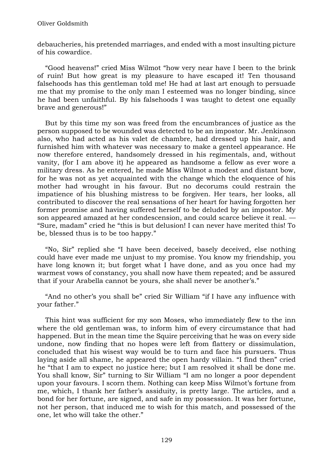debaucheries, his pretended marriages, and ended with a most insulting picture of his cowardice.

"Good heavens!" cried Miss Wilmot "how very near have I been to the brink of ruin! But how great is my pleasure to have escaped it! Ten thousand falsehoods has this gentleman told me! He had at last art enough to persuade me that my promise to the only man I esteemed was no longer binding, since he had been unfaithful. By his falsehoods I was taught to detest one equally brave and generous!"

But by this time my son was freed from the encumbrances of justice as the person supposed to be wounded was detected to be an impostor. Mr. Jenkinson also, who had acted as his valet de chambre, had dressed up his hair, and furnished him with whatever was necessary to make a genteel appearance. He now therefore entered, handsomely dressed in his regimentals, and, without vanity, (for I am above it) he appeared as handsome a fellow as ever wore a military dress. As he entered, he made Miss Wilmot a modest and distant bow, for he was not as yet acquainted with the change which the eloquence of his mother had wrought in his favour. But no decorums could restrain the impatience of his blushing mistress to be forgiven. Her tears, her looks, all contributed to discover the real sensations of her heart for having forgotten her former promise and having suffered herself to be deluded by an impostor. My son appeared amazed at her condescension, and could scarce believe it real. — "Sure, madam" cried he "this is but delusion! I can never have merited this! To be, blessed thus is to be too happy."

"No, Sir" replied she "I have been deceived, basely deceived, else nothing could have ever made me unjust to my promise. You know my friendship, you have long known it; but forget what I have done, and as you once had my warmest vows of constancy, you shall now have them repeated; and be assured that if your Arabella cannot be yours, she shall never be another's."

"And no other's you shall be" cried Sir William "if I have any influence with your father."

This hint was sufficient for my son Moses, who immediately flew to the inn where the old gentleman was, to inform him of every circumstance that had happened. But in the mean time the Squire perceiving that he was on every side undone, now finding that no hopes were left from flattery or dissimulation, concluded that his wisest way would be to turn and face his pursuers. Thus laying aside all shame, he appeared the open hardy villain. "I find then" cried he "that I am to expect no justice here; but I am resolved it shall be done me. You shall know, Sir" turning to Sir William "I am no longer a poor dependent upon your favours. I scorn them. Nothing can keep Miss Wilmot's fortune from me, which, I thank her father's assiduity, is pretty large. The articles, and a bond for her fortune, are signed, and safe in my possession. It was her fortune, not her person, that induced me to wish for this match, and possessed of the one, let who will take the other."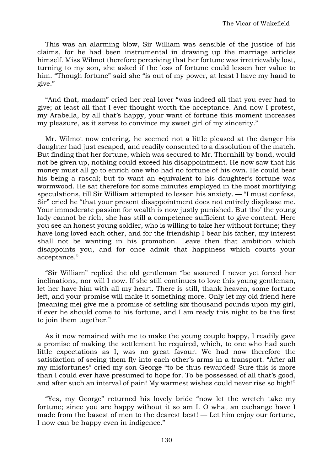This was an alarming blow, Sir William was sensible of the justice of his claims, for he had been instrumental in drawing up the marriage articles himself. Miss Wilmot therefore perceiving that her fortune was irretrievably lost, turning to my son, she asked if the loss of fortune could lessen her value to him. "Though fortune" said she "is out of my power, at least I have my hand to give."

"And that, madam" cried her real lover "was indeed all that you ever had to give; at least all that I ever thought worth the acceptance. And now I protest, my Arabella, by all that's happy, your want of fortune this moment increases my pleasure, as it serves to convince my sweet girl of my sincerity."

Mr. Wilmot now entering, he seemed not a little pleased at the danger his daughter had just escaped, and readily consented to a dissolution of the match. But finding that her fortune, which was secured to Mr. Thornhill by bond, would not be given up, nothing could exceed his disappointment. He now saw that his money must all go to enrich one who had no fortune of his own. He could bear his being a rascal; but to want an equivalent to his daughter's fortune was wormwood. He sat therefore for some minutes employed in the most mortifying speculations, till Sir William attempted to lessen his anxiety. — "I must confess, Sir" cried he "that your present disappointment does not entirely displease me. Your immoderate passion for wealth is now justly punished. But tho' the young lady cannot be rich, she has still a competence sufficient to give content. Here you see an honest young soldier, who is willing to take her without fortune; they have long loved each other, and for the friendship I bear his father, my interest shall not be wanting in his promotion. Leave then that ambition which disappoints you, and for once admit that happiness which courts your acceptance."

"Sir William" replied the old gentleman "be assured I never yet forced her inclinations, nor will I now. If she still continues to love this young gentleman, let her have him with all my heart. There is still, thank heaven, some fortune left, and your promise will make it something more. Only let my old friend here (meaning me) give me a promise of settling six thousand pounds upon my girl, if ever he should come to his fortune, and I am ready this night to be the first to join them together."

As it now remained with me to make the young couple happy, I readily gave a promise of making the settlement he required, which, to one who had such little expectations as I, was no great favour. We had now therefore the satisfaction of seeing them fly into each other's arms in a transport. "After all my misfortunes" cried my son George "to be thus rewarded! Sure this is more than I could ever have presumed to hope for. To be possessed of all that's good, and after such an interval of pain! My warmest wishes could never rise so high!"

"Yes, my George" returned his lovely bride "now let the wretch take my fortune; since you are happy without it so am I. O what an exchange have I made from the basest of men to the dearest best! — Let him enjoy our fortune, I now can be happy even in indigence."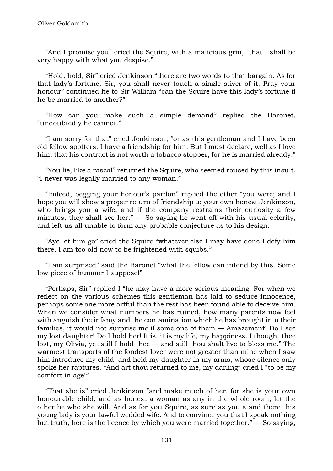"And I promise you" cried the Squire, with a malicious grin, "that I shall be very happy with what you despise."

"Hold, hold, Sir" cried Jenkinson "there are two words to that bargain. As for that lady's fortune, Sir, you shall never touch a single stiver of it. Pray your honour" continued he to Sir William "can the Squire have this lady's fortune if he be married to another?"

"How can you make such a simple demand" replied the Baronet, "undoubtedly he cannot."

"I am sorry for that" cried Jenkinson; "or as this gentleman and I have been old fellow spotters, I have a friendship for him. But I must declare, well as I love him, that his contract is not worth a tobacco stopper, for he is married already."

"You lie, like a rascal" returned the Squire, who seemed roused by this insult, "I never was legally married to any woman."

"Indeed, begging your honour's pardon" replied the other "you were; and I hope you will show a proper return of friendship to your own honest Jenkinson, who brings you a wife, and if the company restrains their curiosity a few minutes, they shall see her."  $-$  So saying he went off with his usual celerity, and left us all unable to form any probable conjecture as to his design.

"Aye let him go" cried the Squire "whatever else I may have done I defy him there. I am too old now to be frightened with squibs."

"I am surprised" said the Baronet "what the fellow can intend by this. Some low piece of humour I suppose!"

"Perhaps, Sir" replied I "he may have a more serious meaning. For when we reflect on the various schemes this gentleman has laid to seduce innocence, perhaps some one more artful than the rest has been found able to deceive him. When we consider what numbers he has ruined, how many parents now feel with anguish the infamy and the contamination which he has brought into their families, it would not surprise me if some one of them — Amazement! Do I see my lost daughter! Do I hold her! It is, it is my life, my happiness. I thought thee lost, my Olivia, yet still I hold thee — and still thou shalt live to bless me." The warmest transports of the fondest lover were not greater than mine when I saw him introduce my child, and held my daughter in my arms, whose silence only spoke her raptures. "And art thou returned to me, my darling" cried I "to be my comfort in age!"

"That she is" cried Jenkinson "and make much of her, for she is your own honourable child, and as honest a woman as any in the whole room, let the other be who she will. And as for you Squire, as sure as you stand there this young lady is your lawful wedded wife. And to convince you that I speak nothing but truth, here is the licence by which you were married together." — So saying,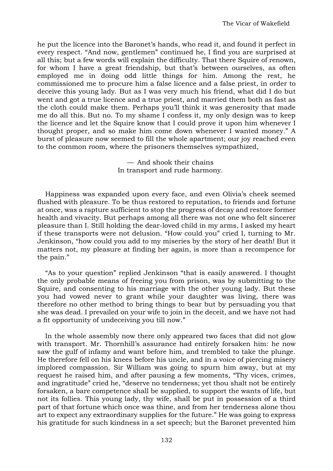he put the licence into the Baronet's hands, who read it, and found it perfect in every respect. "And now, gentlemen" continued he, I find you are surprised at all this; but a few words will explain the difficulty. That there Squire of renown, for whom I have a great friendship, but that's between ourselves, as often employed me in doing odd little things for him. Among the rest, he commissioned me to procure him a false licence and a false priest, in order to deceive this young lady. But as I was very much his friend, what did I do but went and got a true licence and a true priest, and married them both as fast as the cloth could make them. Perhaps you'll think it was generosity that made me do all this. But no. To my shame I confess it, my only design was to keep the licence and let the Squire know that I could prove it upon him whenever I thought proper, and so make him come down whenever I wanted money." A burst of pleasure now seemed to fill the whole apartment; our joy reached even to the common room, where the prisoners themselves sympathized,

> — And shook their chains In transport and rude harmony.

Happiness was expanded upon every face, and even Olivia's cheek seemed flushed with pleasure. To be thus restored to reputation, to friends and fortune at once, was a rapture sufficient to stop the progress of decay and restore former health and vivacity. But perhaps among all there was not one who felt sincerer pleasure than I. Still holding the dear-loved child in my arms, I asked my heart if these transports were not delusion. "How could you" cried I, turning to Mr. Jenkinson, "how could you add to my miseries by the story of her death! But it matters not, my pleasure at finding her again, is more than a recompence for the pain."

"As to your question" replied Jenkinson "that is easily answered. I thought the only probable means of freeing you from prison, was by submitting to the Squire, and consenting to his marriage with the other young lady. But these you had vowed never to grant while your daughter was living, there was therefore no other method to bring things to bear but by persuading you that she was dead. I prevailed on your wife to join in the deceit, and we have not had a fit opportunity of undeceiving you till now."

In the whole assembly now there only appeared two faces that did not glow with transport. Mr. Thornhill's assurance had entirely forsaken him: he now saw the gulf of infamy and want before him, and trembled to take the plunge. He therefore fell on his knees before his uncle, and in a voice of piercing misery implored compassion. Sir William was going to spurn him away, but at my request he raised him, and after pausing a few moments, "Thy vices, crimes, and ingratitude" cried he, "deserve no tenderness; yet thou shalt not be entirely forsaken, a bare competence shall be supplied, to support the wants of life, but not its follies. This young lady, thy wife, shall be put in possession of a third part of that fortune which once was thine, and from her tenderness alone thou art to expect any extraordinary supplies for the future." He was going to express his gratitude for such kindness in a set speech; but the Baronet prevented him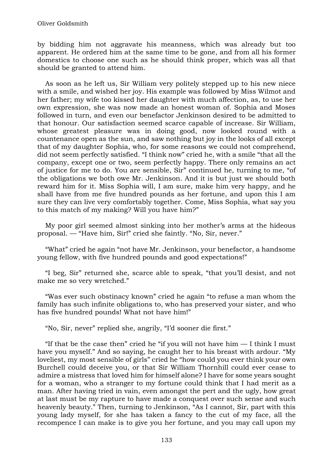by bidding him not aggravate his meanness, which was already but too apparent. He ordered him at the same time to be gone, and from all his former domestics to choose one such as he should think proper, which was all that should be granted to attend him.

As soon as he left us, Sir William very politely stepped up to his new niece with a smile, and wished her joy. His example was followed by Miss Wilmot and her father; my wife too kissed her daughter with much affection, as, to use her own expression, she was now made an honest woman of. Sophia and Moses followed in turn, and even our benefactor Jenkinson desired to be admitted to that honour. Our satisfaction seemed scarce capable of increase. Sir William, whose greatest pleasure was in doing good, now looked round with a countenance open as the sun, and saw nothing but joy in the looks of all except that of my daughter Sophia, who, for some reasons we could not comprehend, did not seem perfectly satisfied. "I think now" cried he, with a smile "that all the company, except one or two, seem perfectly happy. There only remains an act of justice for me to do. You are sensible, Sir" continued he, turning to me, "of the obligations we both owe Mr. Jenkinson. And it is but just we should both reward him for it. Miss Sophia will, I am sure, make him very happy, and he shall have from me five hundred pounds as her fortune, and upon this I am sure they can live very comfortably together. Come, Miss Sophia, what say you to this match of my making? Will you have him?"

My poor girl seemed almost sinking into her mother's arms at the hideous proposal. — "Have him, Sir!" cried she faintly. "No, Sir, never."

"What" cried he again "not have Mr. Jenkinson, your benefactor, a handsome young fellow, with five hundred pounds and good expectations!"

"I beg, Sir" returned she, scarce able to speak, "that you'll desist, and not make me so very wretched."

"Was ever such obstinacy known" cried he again "to refuse a man whom the family has such infinite obligations to, who has preserved your sister, and who has five hundred pounds! What not have him!"

"No, Sir, never" replied she, angrily, "I'd sooner die first."

"If that be the case then" cried he "if you will not have him  $-$  I think I must have you myself." And so saying, he caught her to his breast with ardour. "My loveliest, my most sensible of girls" cried he "how could you ever think your own Burchell could deceive you, or that Sir William Thornhill could ever cease to admire a mistress that loved him for himself alone? I have for some years sought for a woman, who a stranger to my fortune could think that I had merit as a man. After having tried in vain, even amongst the pert and the ugly, how great at last must be my rapture to have made a conquest over such sense and such heavenly beauty." Then, turning to Jenkinson, "As I cannot, Sir, part with this young lady myself, for she has taken a fancy to the cut of my face, all the recompence I can make is to give you her fortune, and you may call upon my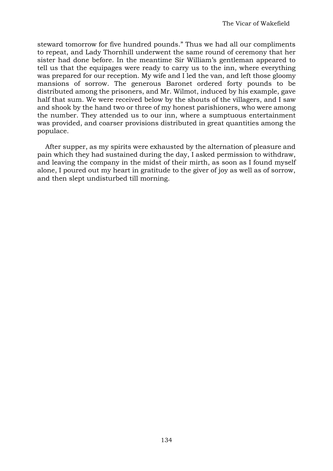steward tomorrow for five hundred pounds." Thus we had all our compliments to repeat, and Lady Thornhill underwent the same round of ceremony that her sister had done before. In the meantime Sir William's gentleman appeared to tell us that the equipages were ready to carry us to the inn, where everything was prepared for our reception. My wife and I led the van, and left those gloomy mansions of sorrow. The generous Baronet ordered forty pounds to be distributed among the prisoners, and Mr. Wilmot, induced by his example, gave half that sum. We were received below by the shouts of the villagers, and I saw and shook by the hand two or three of my honest parishioners, who were among the number. They attended us to our inn, where a sumptuous entertainment was provided, and coarser provisions distributed in great quantities among the populace.

After supper, as my spirits were exhausted by the alternation of pleasure and pain which they had sustained during the day, I asked permission to withdraw, and leaving the company in the midst of their mirth, as soon as I found myself alone, I poured out my heart in gratitude to the giver of joy as well as of sorrow, and then slept undisturbed till morning.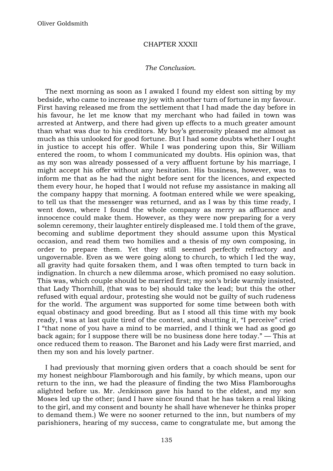## CHAPTER XXXII

#### *The Conclusion.*

The next morning as soon as I awaked I found my eldest son sitting by my bedside, who came to increase my joy with another turn of fortune in my favour. First having released me from the settlement that I had made the day before in his favour, he let me know that my merchant who had failed in town was arrested at Antwerp, and there had given up effects to a much greater amount than what was due to his creditors. My boy's generosity pleased me almost as much as this unlooked for good fortune. But I had some doubts whether I ought in justice to accept his offer. While I was pondering upon this, Sir William entered the room, to whom I communicated my doubts. His opinion was, that as my son was already possessed of a very affluent fortune by his marriage, I might accept his offer without any hesitation. His business, however, was to inform me that as he had the night before sent for the licences, and expected them every hour, he hoped that I would not refuse my assistance in making all the company happy that morning. A footman entered while we were speaking, to tell us that the messenger was returned, and as I was by this time ready, I went down, where I found the whole company as merry as affluence and innocence could make them. However, as they were now preparing for a very solemn ceremony, their laughter entirely displeased me. I told them of the grave, becoming and sublime deportment they should assume upon this Mystical occasion, and read them two homilies and a thesis of my own composing, in order to prepare them. Yet they still seemed perfectly refractory and ungovernable. Even as we were going along to church, to which I led the way, all gravity had quite forsaken them, and I was often tempted to turn back in indignation. In church a new dilemma arose, which promised no easy solution. This was, which couple should be married first; my son's bride warmly insisted, that Lady Thornhill, (that was to be) should take the lead; but this the other refused with equal ardour, protesting she would not be guilty of such rudeness for the world. The argument was supported for some time between both with equal obstinacy and good breeding. But as I stood all this time with my book ready, I was at last quite tired of the contest, and shutting it, "I perceive" cried I "that none of you have a mind to be married, and I think we had as good go back again; for I suppose there will be no business done here today." — This at once reduced them to reason. The Baronet and his Lady were first married, and then my son and his lovely partner.

I had previously that morning given orders that a coach should be sent for my honest neighbour Flamborough and his family, by which means, upon our return to the inn, we had the pleasure of finding the two Miss Flamboroughs alighted before us. Mr. Jenkinson gave his hand to the eldest, and my son Moses led up the other; (and I have since found that he has taken a real liking to the girl, and my consent and bounty he shall have whenever he thinks proper to demand them.) We were no sooner returned to the inn, but numbers of my parishioners, hearing of my success, came to congratulate me, but among the